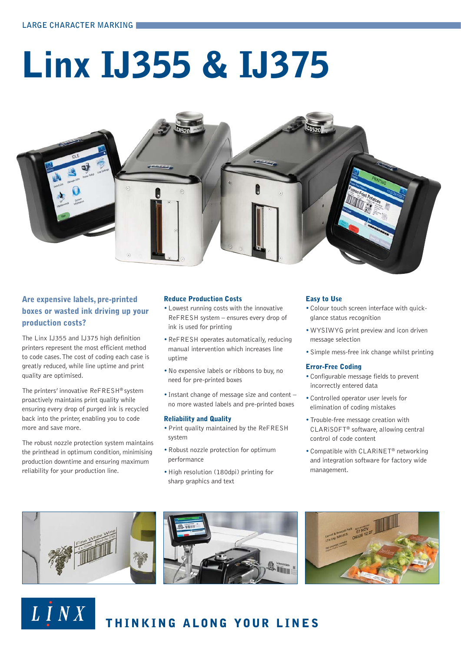# **Linx IJ355 & IJ375**



### **Are expensive labels, pre-printed boxes or wasted ink driving up your production costs?**

The Linx IJ355 and IJ375 high definition printers represent the most efficient method to code cases. The cost of coding each case is greatly reduced, while line uptime and print quality are optimised.

The printers' innovative ReFRESH® system proactively maintains print quality while ensuring every drop of purged ink is recycled back into the printer, enabling you to code more and save more.

The robust nozzle protection system maintains the printhead in optimum condition, minimising production downtime and ensuring maximum reliability for your production line.

**LINX** 

#### **Reduce Production Costs**

- •Lowest running costs with the innovative ReFRESH system – ensures every drop of ink is used for printing
- •ReFRESH operates automatically, reducing manual intervention which increases line uptime
- •No expensive labels or ribbons to buy, no need for pre-printed boxes
- Instant change of message size and content no more wasted labels and pre-printed boxes

#### **Reliability and Quality**

- •Print quality maintained by the ReFRESH system
- •Robust nozzle protection for optimum performance
- •High resolution (180dpi) printing for sharp graphics and text

#### **Easy to Use**

- •Colour touch screen interface with quickglance status recognition
- •WYSIWYG print preview and icon driven message selection
- •Simple mess-free ink change whilst printing

#### **Error-Free Coding**

- •Configurable message fields to prevent incorrectly entered data
- •Controlled operator user levels for elimination of coding mistakes
- •Trouble-free message creation with CLARiSOFT® software, allowing central control of code content
- •Compatible with CLARiNET® networking and integration software for factory wide management.



THINKING ALONG YOUR LINES